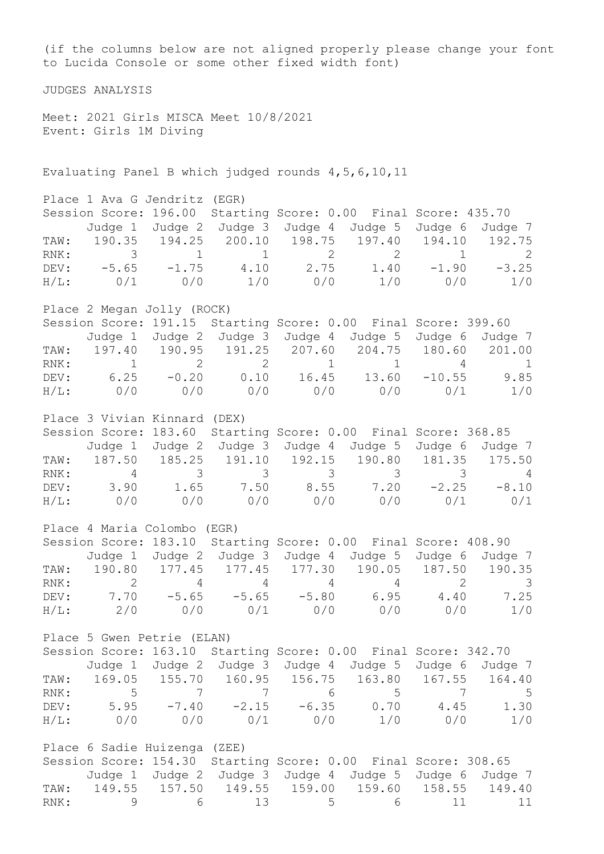(if the columns below are not aligned properly please change your font to Lucida Console or some other fixed width font) JUDGES ANALYSIS Meet: 2021 Girls MISCA Meet 10/8/2021 Event: Girls 1M Diving Evaluating Panel B which judged rounds 4,5,6,10,11 Place 1 Ava G Jendritz (EGR) Session Score: 196.00 Starting Score: 0.00 Final Score: 435.70 Judge 1 Judge 2 Judge 3 Judge 4 Judge 5 Judge 6 Judge 7 TAW: 190.35 194.25 200.10 198.75 197.40 194.10 192.75 RNK: 3 1 1 2 2 1 2 DEV: -5.65 -1.75 4.10 2.75 1.40 -1.90 -3.25 H/L: 0/1 0/0 1/0 0/0 1/0 0/0 1/0 Place 2 Megan Jolly (ROCK) Session Score: 191.15 Starting Score: 0.00 Final Score: 399.60 Judge 1 Judge 2 Judge 3 Judge 4 Judge 5 Judge 6 Judge 7 TAW: 197.40 190.95 191.25 207.60 204.75 180.60 201.00 RNK: 1 2 2 1 1 4 1 DEV: 6.25 -0.20 0.10 16.45 13.60 -10.55 9.85 H/L: 0/0 0/0 0/0 0/0 0/0 0/1 1/0 Place 3 Vivian Kinnard (DEX) Session Score: 183.60 Starting Score: 0.00 Final Score: 368.85 Judge 1 Judge 2 Judge 3 Judge 4 Judge 5 Judge 6 Judge 7 TAW: 187.50 185.25 191.10 192.15 190.80 181.35 175.50 RNK: 4 3 3 3 3 3 4 DEV: 3.90 1.65 7.50 8.55 7.20 -2.25 -8.10 H/L: 0/0 0/0 0/0 0/0 0/0 0/1 0/1 Place 4 Maria Colombo (EGR) Session Score: 183.10 Starting Score: 0.00 Final Score: 408.90 Judge 1 Judge 2 Judge 3 Judge 4 Judge 5 Judge 6 Judge 7 TAW: 190.80 177.45 177.45 177.30 190.05 187.50 190.35 RNK: 2 4 4 4 4 2 3 DEV: 7.70 -5.65 -5.65 -5.80 6.95 4.40 7.25 H/L: 2/0 0/0 0/1 0/0 0/0 0/0 1/0 Place 5 Gwen Petrie (ELAN) Session Score: 163.10 Starting Score: 0.00 Final Score: 342.70 Judge 1 Judge 2 Judge 3 Judge 4 Judge 5 Judge 6 Judge 7 TAW: 169.05 155.70 160.95 156.75 163.80 167.55 164.40 RNK: 5 7 7 6 5 7 5 DEV: 5.95 -7.40 -2.15 -6.35 0.70 4.45 1.30 H/L: 0/0 0/0 0/1 0/0 1/0 0/0 1/0 Place 6 Sadie Huizenga (ZEE) Session Score: 154.30 Starting Score: 0.00 Final Score: 308.65 Judge 1 Judge 2 Judge 3 Judge 4 Judge 5 Judge 6 Judge 7 TAW: 149.55 157.50 149.55 159.00 159.60 158.55 149.40<br>RNK: 9 6 13 5 6 11 11 RNK: 9 6 13 5 6 11 11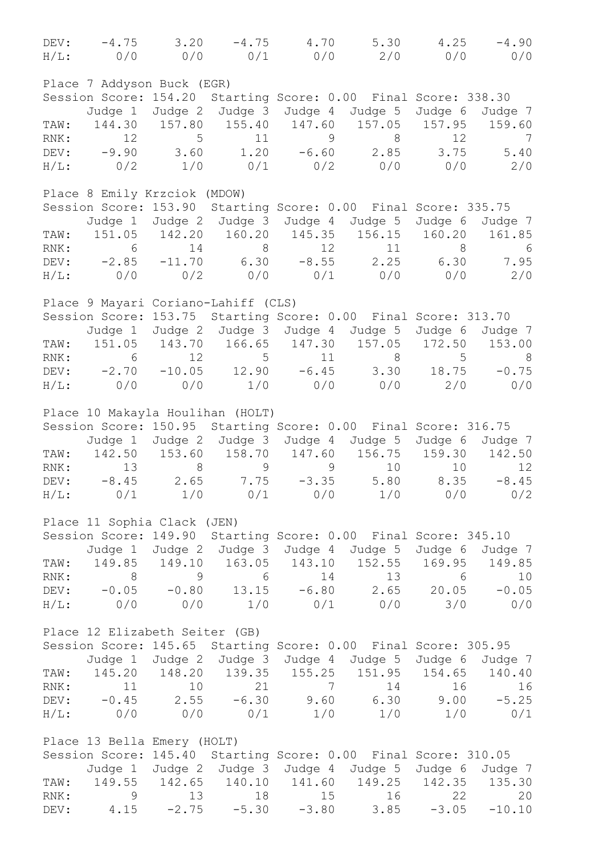|                                     |  | DEV: $-4.75$ 3.20 $-4.75$ 4.70 5.30 4.25 $-4.90$<br>$H/L:$ 0/0 0/0 0/1 0/0 2/0 0/0 0/0 |                   |
|-------------------------------------|--|----------------------------------------------------------------------------------------|-------------------|
| Place 7 Addyson Buck (EGR)          |  |                                                                                        |                   |
|                                     |  | Session Score: 154.20 Starting Score: 0.00 Final Score: 338.30                         |                   |
|                                     |  | Judge 1 Judge 2 Judge 3 Judge 4 Judge 5 Judge 6 Judge 7                                |                   |
|                                     |  | TAW: 144.30 157.80 155.40 147.60 157.05 157.95 159.60                                  |                   |
|                                     |  | RNK: 12 5 11 9 8 12 7                                                                  |                   |
|                                     |  |                                                                                        |                   |
|                                     |  | DEV: -9.90 3.60 1.20 -6.60 2.85 3.75 5.40                                              |                   |
|                                     |  | $H/L:$ 0/2 1/0 0/1 0/2 0/0 0/0 2/0                                                     |                   |
| Place 8 Emily Krzciok (MDOW)        |  |                                                                                        |                   |
|                                     |  | Session Score: 153.90 Starting Score: 0.00 Final Score: 335.75                         |                   |
|                                     |  | Judge 1 Judge 2 Judge 3 Judge 4 Judge 5 Judge 6 Judge 7                                |                   |
|                                     |  | TAW: 151.05 142.20 160.20 145.35 156.15 160.20 161.85                                  |                   |
|                                     |  | RNK: 6 14 8 12 11 8 6                                                                  |                   |
|                                     |  | DEV: -2.85 -11.70 6.30 -8.55 2.25 6.30 7.95                                            |                   |
|                                     |  |                                                                                        |                   |
|                                     |  | $H/L:$ 0/0 0/2 0/0 0/1 0/0 0/0 2/0                                                     |                   |
| Place 9 Mayari Coriano-Lahiff (CLS) |  |                                                                                        |                   |
|                                     |  | Session Score: 153.75 Starting Score: 0.00 Final Score: 313.70                         |                   |
|                                     |  | Judge 1 Judge 2 Judge 3 Judge 4 Judge 5 Judge 6 Judge 7                                |                   |
|                                     |  | TAW: 151.05 143.70 166.65 147.30 157.05 172.50 153.00                                  |                   |
|                                     |  | RNK: 6 12 5 11 8 5 8                                                                   |                   |
|                                     |  |                                                                                        |                   |
|                                     |  | DEV: $-2.70$ $-10.05$ $12.90$ $-6.45$ $3.30$ $18.75$ $-0.75$                           |                   |
|                                     |  | $H/L:$ 0/0 0/0 1/0 0/0 0/0 2/0 0/0                                                     |                   |
| Place 10 Makayla Houlihan (HOLT)    |  |                                                                                        |                   |
|                                     |  | Session Score: 150.95 Starting Score: 0.00 Final Score: 316.75                         |                   |
|                                     |  |                                                                                        |                   |
|                                     |  | Judge 1 Judge 2 Judge 3 Judge 4 Judge 5 Judge 6 Judge 7                                |                   |
|                                     |  | TAW: 142.50 153.60 158.70 147.60 156.75 159.30 142.50                                  |                   |
|                                     |  | RNK: 13 8 9 9 10 10                                                                    | $12 \overline{ }$ |
|                                     |  | DEV: $-8.45$ 2.65 7.75 $-3.35$ 5.80 8.35 $-8.45$                                       |                   |
|                                     |  | $H/L:$ 0/1 1/0 0/1 0/0 1/0 0/0 0/2                                                     |                   |
| Place 11 Sophia Clack (JEN)         |  |                                                                                        |                   |
|                                     |  |                                                                                        |                   |
|                                     |  | Session Score: 149.90 Starting Score: 0.00 Final Score: 345.10                         |                   |
|                                     |  | Judge 1 Judge 2 Judge 3 Judge 4 Judge 5 Judge 6 Judge 7                                |                   |
|                                     |  | TAW: 149.85 149.10 163.05 143.10 152.55 169.95 149.85                                  |                   |
|                                     |  | RNK: 8 9 6 14 13 6 10<br>DEV: -0.05 -0.80 13.15 -6.80 2.65 20.05 -0.05                 |                   |
|                                     |  |                                                                                        |                   |
|                                     |  | $H/L:$ 0/0 0/0 1/0 0/1 0/0 3/0                                                         | 0/0               |
|                                     |  |                                                                                        |                   |
| Place 12 Elizabeth Seiter (GB)      |  |                                                                                        |                   |
|                                     |  | Session Score: 145.65 Starting Score: 0.00 Final Score: 305.95                         |                   |
|                                     |  | Judge 1 Judge 2 Judge 3 Judge 4 Judge 5 Judge 6 Judge 7                                |                   |
|                                     |  | TAW: 145.20 148.20 139.35 155.25 151.95 154.65 140.40                                  |                   |
|                                     |  | RNK: 11 10 21 7 14 16 16<br>DEV: -0.45 2.55 -6.30 9.60 6.30 9.00 -5.25                 |                   |
|                                     |  |                                                                                        |                   |
|                                     |  | $H/L:$ 0/0 0/0 0/1 1/0 1/0 1/0                                                         | 0/1               |
|                                     |  |                                                                                        |                   |
| Place 13 Bella Emery (HOLT)         |  |                                                                                        |                   |
|                                     |  | Session Score: 145.40 Starting Score: 0.00 Final Score: 310.05                         |                   |
|                                     |  | Judge 1 Judge 2 Judge 3 Judge 4 Judge 5 Judge 6 Judge 7                                |                   |
|                                     |  | TAW: 149.55 142.65 140.10 141.60 149.25 142.35 135.30                                  |                   |
|                                     |  | RNK: 9 13 18 15 16 22 20<br>DEV: 4.15 -2.75 -5.30 -3.80 3.85 -3.05 -10.10              |                   |
|                                     |  |                                                                                        |                   |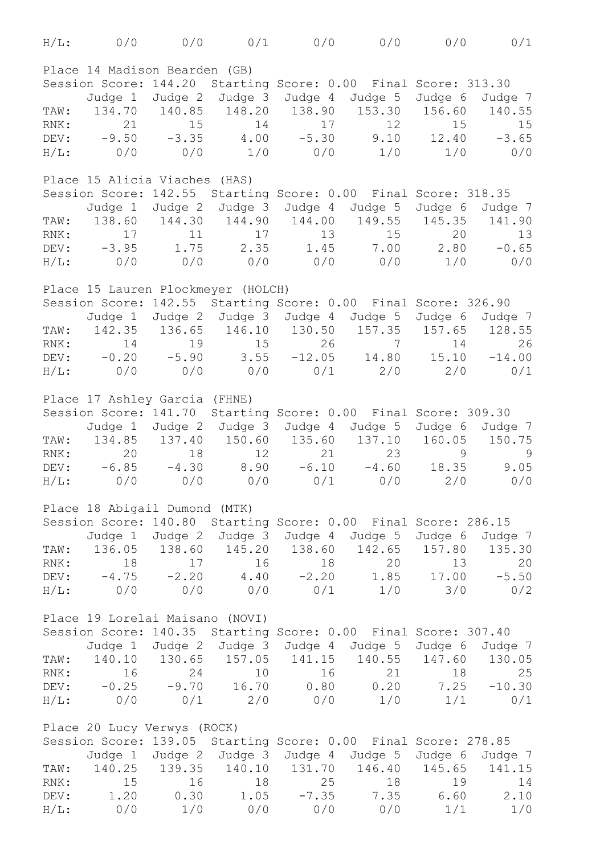| $H/L$ :                       | 0/0                                 |         |                 |     | $0/0$ $0/1$ $0/0$ $0/0$ $0/0$                                  |                | 0/1           |  |
|-------------------------------|-------------------------------------|---------|-----------------|-----|----------------------------------------------------------------|----------------|---------------|--|
| Place 14 Madison Bearden (GB) |                                     |         |                 |     |                                                                |                |               |  |
|                               | Session Score: 144.20               |         |                 |     | Starting Score: 0.00 Final Score: 313.30                       |                |               |  |
|                               | Judge 1                             |         |                 |     | Judge 2 Judge 3 Judge 4 Judge 5                                | Judge 6        | Judge 7       |  |
| TAW:                          |                                     |         |                 |     | 134.70  140.85  148.20  138.90  153.30  156.60                 |                | 140.55        |  |
| RNK:                          | 21                                  | 15      | 14              | 17  | 12                                                             | 15             | 15            |  |
|                               | $DEFV: -9.50$                       | $-3.35$ |                 |     | $4.00 -5.30$ $9.10$ $12.40 -3.65$                              |                |               |  |
|                               |                                     |         |                 |     | $H/L:$ 0/0 0/0 1/0 0/0 1/0                                     |                | 1/0<br>0/0    |  |
|                               | Place 15 Alicia Viaches (HAS)       |         |                 |     |                                                                |                |               |  |
|                               | Session Score: 142.55               |         |                 |     | Starting Score: 0.00 Final Score: 318.35                       |                |               |  |
|                               | Judge 1                             |         |                 |     | Judge 2 Judge 3 Judge 4 Judge 5                                | Judge 6        | Judge 7       |  |
| TAW:                          |                                     |         |                 |     | 138.60 144.30 144.90 144.00 149.55 145.35 141.90               |                |               |  |
| RNK:                          | 17                                  | 11      | 17              | 13  | 15                                                             | 20             | 13            |  |
|                               | $DEFV: -3.95$                       |         | $1.75$ 2.35     |     | $1.45$ $7.00$ $2.80$ $-0.65$                                   |                |               |  |
|                               | H/L: 0/0                            |         |                 |     | $0/0$ $0/0$ $0/0$ $0/0$ $0/0$ $1/0$                            |                | 0/0           |  |
|                               | Place 15 Lauren Plockmeyer (HOLCH)  |         |                 |     |                                                                |                |               |  |
|                               | Session Score: 142.55               |         |                 |     | Starting Score: 0.00 Final Score: 326.90                       |                |               |  |
|                               | Judge 1                             |         |                 |     | Judge 2 Judge 3 Judge 4 Judge 5                                | Judge 6        | Judge 7       |  |
|                               |                                     |         |                 |     | TAW: 142.35 136.65 146.10 130.50 157.35 157.65 128.55          |                |               |  |
| RNK:                          | 14                                  | 19      | 15              | 26  | $\overline{7}$                                                 | 14             | 26            |  |
|                               | DEV: $-0.20$                        | $-5.90$ |                 |     | $3.55$ $-12.05$ $14.80$ $15.10$                                |                | $-14.00$      |  |
|                               |                                     |         |                 |     | $H/L:$ 0/0 0/0 0/0 0/1 2/0                                     | 2/0            | 0/1           |  |
|                               |                                     |         |                 |     |                                                                |                |               |  |
|                               | Place 17 Ashley Garcia (FHNE)       |         |                 |     |                                                                |                |               |  |
|                               | Session Score: 141.70               |         |                 |     | Starting Score: 0.00 Final Score: 309.30                       |                |               |  |
|                               |                                     |         |                 |     | Judge 1 Judge 2 Judge 3 Judge 4 Judge 5                        | Judge 6        | Judge 7       |  |
|                               | TAW: 134.85                         | 137.40  |                 |     | 150.60  135.60  137.10                                         |                | 160.05 150.75 |  |
| RNK:                          | 20                                  | 18      | 12 <sup>°</sup> | 21  | 23                                                             | 9              | 9             |  |
|                               | DEV: $-6.85$                        | $-4.30$ | 8.90            |     | $-6.10 -4.60 18.35$                                            |                | 9.05          |  |
| $H/L$ :                       | 0/0                                 | 0/0     |                 |     | $0/0$ $0/1$ $0/0$                                              |                | 2/0<br>0/0    |  |
|                               | Place 18 Abigail Dumond (MTK)       |         |                 |     |                                                                |                |               |  |
|                               |                                     |         |                 |     | Session Score: 140.80 Starting Score: 0.00 Final Score: 286.15 |                |               |  |
|                               |                                     |         |                 |     | Judge 1 Judge 2 Judge 3 Judge 4 Judge 5 Judge 6 Judge 7        |                |               |  |
|                               |                                     |         |                 |     | TAW: 136.05 138.60 145.20 138.60 142.65 157.80 135.30          |                |               |  |
| RNK:                          | 18                                  | 17      | 16              | 18  | 20                                                             | 13             | 20            |  |
|                               | DEV: $-4.75$ $-2.20$ $4.40$ $-2.20$ |         |                 |     |                                                                | $1.85$ $17.00$ | $-5.50$       |  |
|                               | H/L: 0/0                            |         |                 |     | $0/0$ $0/0$ $0/1$ $1/0$ $3/0$                                  |                | 0/2           |  |
|                               | Place 19 Lorelai Maisano (NOVI)     |         |                 |     |                                                                |                |               |  |
|                               |                                     |         |                 |     | Session Score: 140.35 Starting Score: 0.00 Final Score: 307.40 |                |               |  |
|                               |                                     |         |                 |     | Judge 1 Judge 2 Judge 3 Judge 4 Judge 5 Judge 6 Judge 7        |                |               |  |
|                               |                                     |         |                 |     | TAW: 140.10 130.65 157.05 141.15 140.55 147.60 130.05          |                |               |  |
| RNK:                          | 16                                  | 24      | 10              | 16  | 21 18                                                          |                | 25            |  |
|                               |                                     |         |                 |     | DEV: -0.25 -9.70 16.70 0.80 0.20 7.25                          |                | $-10.30$      |  |
|                               |                                     |         |                 |     | $H/L:$ 0/0 0/1 2/0 0/0 1/0 1/1                                 |                | 0/1           |  |
|                               | Place 20 Lucy Verwys (ROCK)         |         |                 |     |                                                                |                |               |  |
|                               |                                     |         |                 |     | Session Score: 139.05 Starting Score: 0.00 Final Score: 278.85 |                |               |  |
|                               |                                     |         |                 |     | Judge 1 Judge 2 Judge 3 Judge 4 Judge 5 Judge 6 Judge 7        |                |               |  |
|                               |                                     |         |                 |     | TAW: 140.25 139.35 140.10 131.70 146.40 145.65 141.15          |                |               |  |
| RNK:                          | 15                                  | 16      | 18              | 25  | 18                                                             | 19             | 14            |  |
| DEV:                          | 1.20                                | 0.30    |                 |     | $1.05$ $-7.35$ $7.35$ $6.60$                                   |                | 2.10          |  |
| $H/L$ :                       | 0/0                                 | 1/0     | 0/0             | 0/0 | 0/0                                                            | 1/1            | 1/0           |  |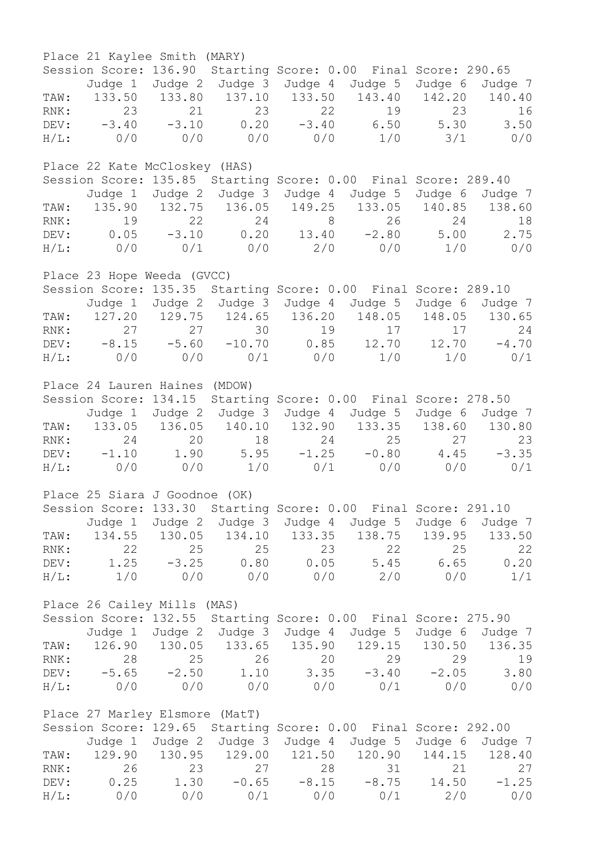|         | Place 21 Kaylee Smith (MARY)   |               |                 |                                 |                                                                             |         |         |
|---------|--------------------------------|---------------|-----------------|---------------------------------|-----------------------------------------------------------------------------|---------|---------|
|         |                                |               |                 |                                 | Session Score: 136.90 Starting Score: 0.00 Final Score: 290.65              |         |         |
|         |                                |               |                 |                                 | Judge 1 Judge 2 Judge 3 Judge 4 Judge 5 Judge 6 Judge 7                     |         |         |
|         |                                |               |                 |                                 | TAW: 133.50 133.80 137.10 133.50 143.40 142.20 140.40                       |         |         |
|         |                                |               |                 |                                 | RNK: 23 21 23 22 19 23 16<br>DEV: -3.40 -3.10 0.20 -3.40 6.50 5.30 3.50     |         |         |
|         |                                |               |                 |                                 |                                                                             |         |         |
|         |                                |               |                 |                                 | $H/L:$ 0/0 0/0 0/0 0/0 1/0 3/1 0/0                                          |         |         |
|         | Place 22 Kate McCloskey (HAS)  |               |                 |                                 |                                                                             |         |         |
|         |                                |               |                 |                                 | Session Score: 135.85 Starting Score: 0.00 Final Score: 289.40              |         |         |
|         |                                |               |                 |                                 | Judge 1 Judge 2 Judge 3 Judge 4 Judge 5 Judge 6 Judge 7                     |         |         |
|         |                                |               |                 |                                 | TAW: 135.90 132.75 136.05 149.25 133.05 140.85 138.60                       |         |         |
|         |                                |               |                 |                                 | RNK: 19 22 24 8 26 24 18<br>DEV: 0.05 -3.10 0.20 13.40 -2.80 5.00 2.75      |         |         |
|         |                                |               |                 |                                 |                                                                             |         |         |
|         |                                |               |                 |                                 | $H/L:$ 0/0 0/1 0/0 2/0 0/0 1/0 0/0                                          |         |         |
|         | Place 23 Hope Weeda (GVCC)     |               |                 |                                 |                                                                             |         |         |
|         |                                |               |                 |                                 | Session Score: 135.35 Starting Score: 0.00 Final Score: 289.10              |         |         |
|         |                                |               |                 |                                 | Judge 1 Judge 2 Judge 3 Judge 4 Judge 5 Judge 6 Judge 7                     |         |         |
|         |                                |               |                 |                                 | TAW: 127.20 129.75 124.65 136.20 148.05 148.05 130.65                       |         |         |
|         |                                |               |                 |                                 |                                                                             |         |         |
|         |                                |               |                 |                                 | RNK: 27 27 30 19 17 17 24<br>DEV: −8.15 −5.60 −10.70 0.85 12.70 12.70 −4.70 |         |         |
|         |                                |               |                 |                                 | $H/L:$ 0/0 0/0 0/1 0/0 1/0 1/0                                              |         | 0/1     |
|         |                                |               |                 |                                 |                                                                             |         |         |
|         | Place 24 Lauren Haines (MDOW)  |               |                 |                                 |                                                                             |         |         |
|         |                                |               |                 |                                 | Session Score: 134.15 Starting Score: 0.00 Final Score: 278.50              |         |         |
|         |                                |               |                 |                                 | Judge 1 Judge 2 Judge 3 Judge 4 Judge 5 Judge 6 Judge 7                     |         |         |
|         |                                |               |                 |                                 | TAW: 133.05 136.05 140.10 132.90 133.35 138.60 130.80                       |         |         |
|         |                                |               |                 |                                 |                                                                             |         |         |
|         |                                |               |                 |                                 | RNK: 24 20 18 24 25 27 23<br>DEV: -1.10 1.90 5.95 -1.25 -0.80 4.45 -3.35    |         |         |
|         |                                |               |                 |                                 | H/L: 0/0 0/0 1/0 0/1 0/0 0/0                                                |         | 0/1     |
|         | Place 25 Siara J Goodnoe (OK)  |               |                 |                                 |                                                                             |         |         |
|         |                                |               |                 |                                 | Session Score: 133.30 Starting Score: 0.00 Final Score: 291.10              |         |         |
|         | Judge 1                        |               | Judge 2 Judge 3 | Judge 4                         | Judge 5                                                                     | Judge 6 | Judge 7 |
| TAW:    |                                | 134.55 130.05 |                 |                                 | 134.10 133.35 138.75                                                        | 139.95  | 133.50  |
|         | 22                             | 25            | 25              | 23                              | 22                                                                          | 25      | 22      |
| RNK:    |                                |               |                 |                                 |                                                                             |         |         |
| DEV:    | 1.25                           | $-3.25$       | 0.80            | 0.05                            | 5.45                                                                        | 6.65    | 0.20    |
| $H/L$ : | 1/0                            | 0/0           | 0/0             | 0/0                             | 2/0                                                                         | 0/0     | 1/1     |
|         | Place 26 Cailey Mills (MAS)    |               |                 |                                 |                                                                             |         |         |
|         |                                |               |                 |                                 | Session Score: 132.55 Starting Score: 0.00 Final Score: 275.90              |         |         |
|         |                                |               |                 | Judge 1 Judge 2 Judge 3 Judge 4 | Judge 5                                                                     | Judge 6 | Judge 7 |
| TAW:    |                                |               |                 | 126.90 130.05 133.65 135.90     | 129.15                                                                      | 130.50  | 136.35  |
| RNK:    | 28                             | 25            | 26              | 20                              | 29                                                                          | 29      | 19      |
| DEV:    | $-5.65$                        | $-2.50$       | 1.10            | 3.35                            | $-3.40$                                                                     | $-2.05$ | 3.80    |
|         | H/L: 0/0                       | 0/0           | 0/0             | 0/0                             | 0/1                                                                         | 0/0     | 0/0     |
|         |                                |               |                 |                                 |                                                                             |         |         |
|         | Place 27 Marley Elsmore (MatT) |               |                 |                                 |                                                                             |         |         |
|         |                                |               |                 |                                 | Session Score: 129.65 Starting Score: 0.00 Final Score: 292.00              |         |         |
|         |                                |               |                 |                                 | Judge 1 Judge 2 Judge 3 Judge 4 Judge 5                                     | Judge 6 | Judge 7 |
| TAW:    |                                |               |                 | 129.90 130.95 129.00 121.50     | 120.90                                                                      | 144.15  | 128.40  |
| RNK:    | 26                             | 23            | 27              | 28                              | 31                                                                          | 21      | 27      |
| DEV:    | 0.25                           | 1.30          | $-0.65$         | $-8.15$                         | $-8.75$                                                                     | 14.50   | $-1.25$ |
| $H/L$ : | 0/0                            | 0/0           | 0/1             | 0/0                             | 0/1                                                                         | 2/0     | 0/0     |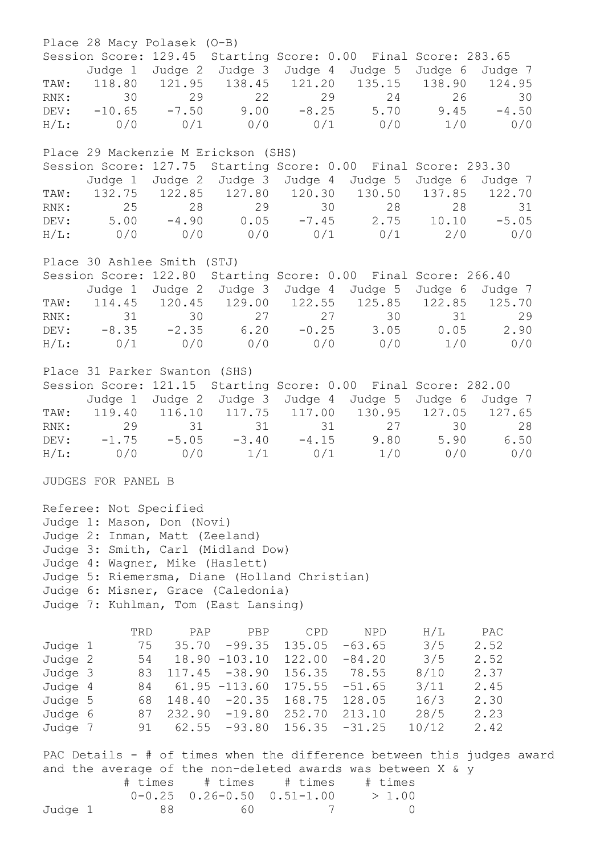Place 28 Macy Polasek (O-B) Session Score: 129.45 Starting Score: 0.00 Final Score: 283.65 Judge 1 Judge 2 Judge 3 Judge 4 Judge 5 Judge 6 Judge 7 TAW: 118.80 121.95 138.45 121.20 135.15 138.90 124.95 RNK: 30 29 22 29 24 26 30 DEV: -10.65 -7.50 9.00 -8.25 5.70 9.45 -4.50 H/L: 0/0 0/1 0/0 0/1 0/0 1/0 0/0 Place 29 Mackenzie M Erickson (SHS) Session Score: 127.75 Starting Score: 0.00 Final Score: 293.30 Judge 1 Judge 2 Judge 3 Judge 4 Judge 5 Judge 6 Judge 7 TAW: 132.75 122.85 127.80 120.30 130.50 137.85 122.70<br>RNK: 25 28 29 30 28 28 31 RNK: 25 28 29 30 28 28 31 DEV: 5.00 -4.90 0.05 -7.45 2.75 10.10 -5.05 H/L: 0/0 0/0 0/0 0/1 0/1 2/0 0/0 Place 30 Ashlee Smith (STJ) Session Score: 122.80 Starting Score: 0.00 Final Score: 266.40 Judge 1 Judge 2 Judge 3 Judge 4 Judge 5 Judge 6 Judge 7 TAW: 114.45 120.45 129.00 122.55 125.85 122.85 125.70 RNK: 31 30 27 27 30 31 29 DEV: -8.35 -2.35 6.20 -0.25 3.05 0.05 2.90 H/L: 0/1 0/0 0/0 0/0 0/0 1/0 0/0 Place 31 Parker Swanton (SHS) Session Score: 121.15 Starting Score: 0.00 Final Score: 282.00 Judge 1 Judge 2 Judge 3 Judge 4 Judge 5 Judge 6 Judge 7 TAW: 119.40 116.10 117.75 117.00 130.95 127.05 127.65 RNK: 29 31 31 31 27 30 28 DEV: -1.75 -5.05 -3.40 -4.15 9.80 5.90 6.50 H/L: 0/0 0/0 1/1 0/1 1/0 0/0 0/0 JUDGES FOR PANEL B Referee: Not Specified Judge 1: Mason, Don (Novi) Judge 2: Inman, Matt (Zeeland) Judge 3: Smith, Carl (Midland Dow) Judge 4: Wagner, Mike (Haslett) Judge 5: Riemersma, Diane (Holland Christian) Judge 6: Misner, Grace (Caledonia) Judge 7: Kuhlman, Tom (East Lansing) TRD PAP PBP CPD NPD H/L PAC Judge 1 75 35.70 -99.35 135.05 -63.65 3/5 2.52 Judge 2 54 18.90 -103.10 122.00 -84.20 3/5 2.52 Judge 3 83 117.45 -38.90 156.35 78.55 8/10 2.37 Judge 4 84 61.95 -113.60 175.55 -51.65 3/11 2.45 Judge 5 68 148.40 -20.35 168.75 128.05 16/3 2.30 Judge 6 87 232.90 -19.80 252.70 213.10 28/5 2.23 Judge 7 91 62.55 -93.80 156.35 -31.25 10/12 2.42 PAC Details - # of times when the difference between this judges award and the average of the non-deleted awards was between X & y # times # times # times # times  $0-0.25$   $0.26-0.50$   $0.51-1.00$   $> 1.00$ Judge 1 88 60 7 0